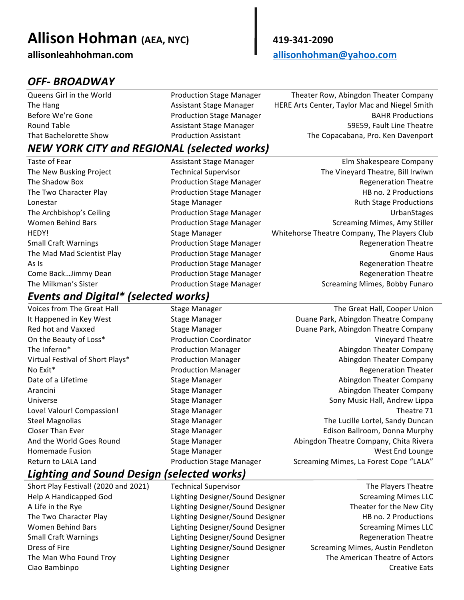# **Allison Hohman (AEA, NYC) 419-341-2090**

**allisonleahhohman.com allisonhohman@yahoo.com**

# *OFF- BROADWAY*

Queens Girl in the World **Nation Conduction Stage Manager** Theater Row, Abingdon Theater Company The Hang The Hang Assistant Stage Manager HERE Arts Center, Taylor Mac and Niegel Smith Before We're Gone The Stage Production Stage Manager The Stage Manager BAHR Productions Round Table **Assistant Stage Manager** 69 and Table 19859, Fault Line Theatre 69 That Bachelorette Show **The Copacabana, Production Assistant** The Copacabana, Pro. Ken Davenport

# *NEW YORK CITY and REGIONAL (selected works)*

Taste of Fear **Assistant Stage Manager** Assistant Stage Manager **Elm** Shakespeare Company The New Busking Project Technical Supervisor The Wineyard Theatre, Bill Irwiwn

# *Events and Digital\* (selected works)*

- 
- 
- The Shadow Box **Shadow** Box **Production** Stage Manager **Regeneration** Theatre The Two Character Play **Production** Stage Manager **HB** no. 2 Productions Lonestar **Stage Manager** Stage Manager **Stage Productions** Ruth Stage Productions The Archbishop's Ceiling The Archbishop's Ceiling Community Production Stage Manager Community Community ChanStages Women Behind Bars **Network:** Production Stage Manager **Screaming Mimes, Amy Stiller** Screaming Mimes, Amy Stiller HEDY! Stage Manager South the Stage Manager Settle Heatre Company, The Players Club Small Craft Warnings Theorem Controller Production Stage Manager Theorem Regeneration Theatre The Mad Mad Scientist Play **Production Stage Manager** Gnome Haus Gnome Haus As Is **Internal Communist Construction** Stage Manager **Regularist Construction** Theatre Come Back...Jimmy Dean **Regeneration** Production Stage Manager **Regeneration** Theatre The Milkman's Sister The Milkman's Sister Alleman Controller Production Stage Manager Screaming Mimes, Bobby Funaro
- Voices from The Great Hall Stage Manager Stage The Great Hall, Cooper Union It Happened in Key West **Stage Manager** Buane Duane Park, Abingdon Theatre Company Red hot and Vaxxed **Stage Manager** Scage Manager **Stage Manager** Duane Park, Abingdon Theatre Company On the Beauty of Loss\* Theorem Coordinator Coordinator Coordinator Coordinator Coordinator Coordinator Coordinator Coordinator Coordinator Coordinator Coordinator Coordinator Coordinator Coordinator Coordinator Coordinator The Inferno<sup>\*</sup> The Infernotive Company Production Manager **Abingdon** Theater Company Virtual Festival of Short Plays\* **Production Manager** Abingdon Theater Company No Exit\* The Controller Controller Production Manager Controller Regeneration Theater Date of a Lifetime **Stage Manager** Stage Manager Abingdon Theater Company Arancini **Stage Manager** Abingdon Theater Company **Abingdon** Theater Company Universe **Stage Manager** School Stage Manager Sony Music Hall, Andrew Lippa Love! Valour! Compassion! Stage Manager Theatre 71 Steel Magnolias **Stage Manager** Stage Manager The Lucille Lortel, Sandy Duncan Closer Than Ever Summan Stage Manager Stage Manager Edison Ballroom, Donna Murphy And the World Goes Round **Stage Manager** Abingdon Theatre Company, Chita Rivera Homemade Fusion **Stage Manager** Stage Manager Suppose that the Stage Manager Stage Manager Stage Manager Stage Manager Stage Manager Stage Manager Stage Manager Stage Manager Stage Manager Stage Manager Stage Manager Stage Return to LALA Land The Manage Production Stage Manager Screaming Mimes, La Forest Cope "LALA"

#### *Lighting and Sound Design (selected works)*

Short Play Festival! (2020 and 2021) Technical Supervisor The Communication The Players Theatre Help A Handicapped God 
Lighting Designer/Sound Designer

Lighting Communication Communication Communication Communication Communication Communication Communication Communication Communication Communication Communication C A Life in the Rye Theater School Community Cound Designer Theater for the New City The Two Character Play The Two Character Play Character Music Lighting Designer/Sound Designer The Two Character Play Women Behind Bars **Screaming Community** Lighting Designer/Sound Designer Screaming Mimes LLC Small Craft Warnings Theatre Lighting Designer/Sound Designer Theatre Regeneration Theatre Dress of Fire **Lighting Designer/Sound Designer** Screaming Mimes, Austin Pendleton The Man Who Found Troy The Lighting Designer The Man The American Theatre of Actors Ciao Bambinpo **Calculation City Creative Eats** Lighting Designer Creative Creative Eats Creative Eats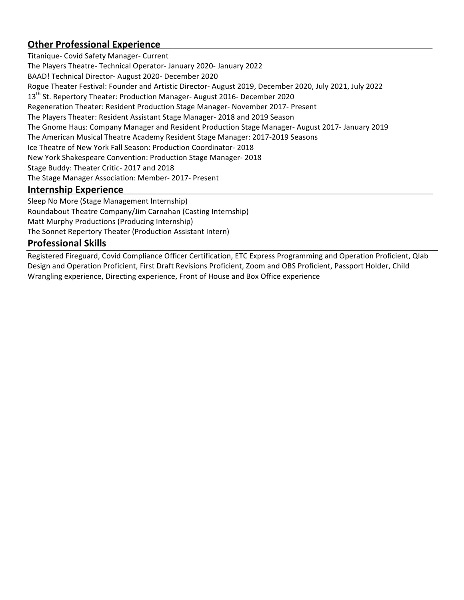#### **Other Professional Experience**

Titanique- Covid Safety Manager- Current The Players Theatre- Technical Operator- January 2020- January 2022 BAAD! Technical Director- August 2020- December 2020 Rogue Theater Festival: Founder and Artistic Director- August 2019, December 2020, July 2021, July 2022 13<sup>th</sup> St. Repertory Theater: Production Manager- August 2016- December 2020 Regeneration Theater: Resident Production Stage Manager- November 2017- Present The Players Theater: Resident Assistant Stage Manager- 2018 and 2019 Season The Gnome Haus: Company Manager and Resident Production Stage Manager- August 2017- January 2019 The American Musical Theatre Academy Resident Stage Manager: 2017-2019 Seasons Ice Theatre of New York Fall Season: Production Coordinator- 2018 New York Shakespeare Convention: Production Stage Manager- 2018 Stage Buddy: Theater Critic- 2017 and 2018 The Stage Manager Association: Member- 2017- Present

#### **Internship Experience**

Sleep No More (Stage Management Internship) Roundabout Theatre Company/Jim Carnahan (Casting Internship) Matt Murphy Productions (Producing Internship) The Sonnet Repertory Theater (Production Assistant Intern)

#### **Professional Skills**

Registered Fireguard, Covid Compliance Officer Certification, ETC Express Programming and Operation Proficient, Qlab Design and Operation Proficient, First Draft Revisions Proficient, Zoom and OBS Proficient, Passport Holder, Child Wrangling experience, Directing experience, Front of House and Box Office experience